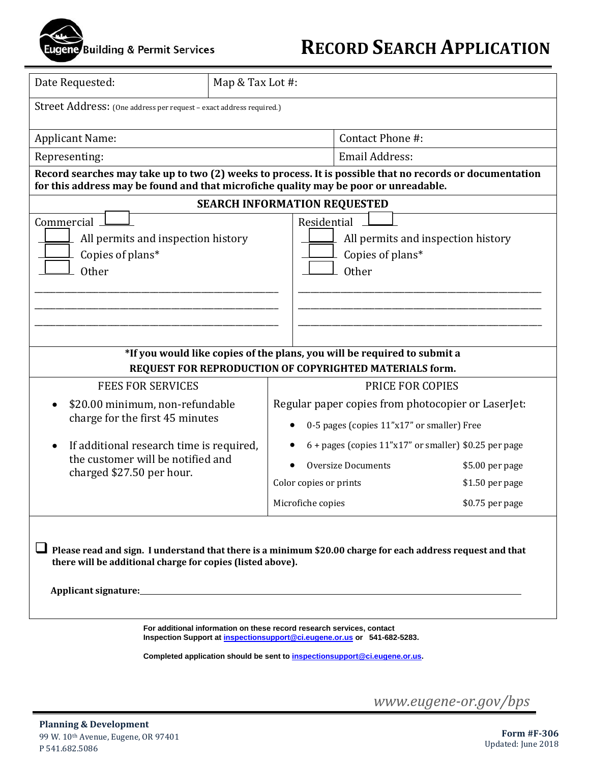## gene Building & Permit Services

## **RECORD SEARCH APPLICATION**

| Date Requested:                                                                                                                                                                                          | Map & Tax Lot #:                                                      |                                                    |                                                                                       |                 |  |
|----------------------------------------------------------------------------------------------------------------------------------------------------------------------------------------------------------|-----------------------------------------------------------------------|----------------------------------------------------|---------------------------------------------------------------------------------------|-----------------|--|
| Street Address: (One address per request - exact address required.)                                                                                                                                      |                                                                       |                                                    |                                                                                       |                 |  |
| <b>Applicant Name:</b>                                                                                                                                                                                   |                                                                       |                                                    | Contact Phone #:                                                                      |                 |  |
| Representing:                                                                                                                                                                                            |                                                                       |                                                    | <b>Email Address:</b>                                                                 |                 |  |
| Record searches may take up to two (2) weeks to process. It is possible that no records or documentation<br>for this address may be found and that microfiche quality may be poor or unreadable.         |                                                                       |                                                    |                                                                                       |                 |  |
| <b>SEARCH INFORMATION REQUESTED</b>                                                                                                                                                                      |                                                                       |                                                    |                                                                                       |                 |  |
| Commercial<br>All permits and inspection history<br>Copies of plans*<br><b>Other</b>                                                                                                                     |                                                                       |                                                    | Residential<br>All permits and inspection history<br>Copies of plans*<br><b>Other</b> |                 |  |
| *If you would like copies of the plans, you will be required to submit a                                                                                                                                 |                                                                       |                                                    |                                                                                       |                 |  |
| REQUEST FOR REPRODUCTION OF COPYRIGHTED MATERIALS form.                                                                                                                                                  |                                                                       |                                                    |                                                                                       |                 |  |
| <b>FEES FOR SERVICES</b>                                                                                                                                                                                 |                                                                       |                                                    | PRICE FOR COPIES                                                                      |                 |  |
| \$20.00 minimum, non-refundable<br>charge for the first 45 minutes                                                                                                                                       |                                                                       | Regular paper copies from photocopier or LaserJet: |                                                                                       |                 |  |
|                                                                                                                                                                                                          |                                                                       | 0-5 pages (copies 11"x17" or smaller) Free         |                                                                                       |                 |  |
| If additional research time is required,                                                                                                                                                                 |                                                                       |                                                    | $6 +$ pages (copies $11$ "x17" or smaller) \$0.25 per page                            |                 |  |
| the customer will be notified and                                                                                                                                                                        |                                                                       |                                                    | <b>Oversize Documents</b>                                                             | \$5.00 per page |  |
| charged \$27.50 per hour.                                                                                                                                                                                |                                                                       | Color copies or prints                             |                                                                                       | \$1.50 per page |  |
|                                                                                                                                                                                                          |                                                                       | Microfiche copies                                  |                                                                                       | \$0.75 per page |  |
| $\Box$ Please read and sign. I understand that there is a minimum \$20.00 charge for each address request and that<br>there will be additional charge for copies (listed above).<br>Applicant signature: |                                                                       |                                                    |                                                                                       |                 |  |
|                                                                                                                                                                                                          | For additional information on these record research services, contact |                                                    | Inspection Support at inspectionsupport@ci.eugene.or.us or 541-682-5283.              |                 |  |

**Completed application should be sent to inspectionsupport@ci.eugene.or.us.**

*www.eugene-or.gov/bps*